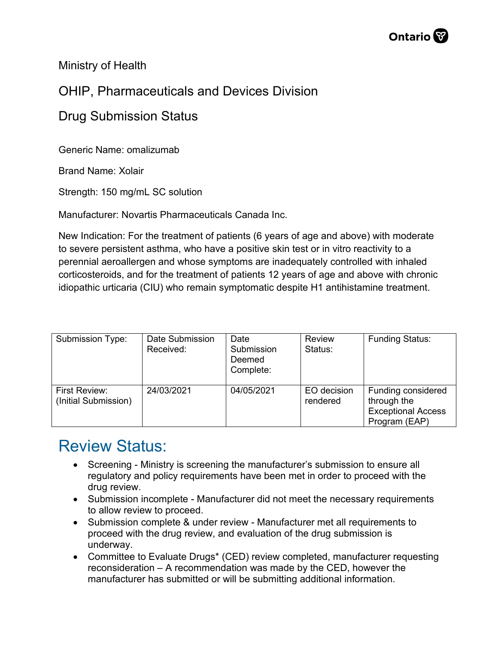Ministry of Health

## OHIP, Pharmaceuticals and Devices Division

## Drug Submission Status

Generic Name: omalizumab

Brand Name: Xolair

Strength: 150 mg/mL SC solution

Manufacturer: Novartis Pharmaceuticals Canada Inc.

New Indication: For the treatment of patients (6 years of age and above) with moderate to severe persistent asthma, who have a positive skin test or in vitro reactivity to a perennial aeroallergen and whose symptoms are inadequately controlled with inhaled corticosteroids, and for the treatment of patients 12 years of age and above with chronic idiopathic urticaria (CIU) who remain symptomatic despite H1 antihistamine treatment.

| Submission Type:                      | Date Submission<br>Received: | Date<br>Submission<br>Deemed<br>Complete: | <b>Review</b><br>Status: | <b>Funding Status:</b>                                                          |
|---------------------------------------|------------------------------|-------------------------------------------|--------------------------|---------------------------------------------------------------------------------|
| First Review:<br>(Initial Submission) | 24/03/2021                   | 04/05/2021                                | EO decision<br>rendered  | Funding considered<br>through the<br><b>Exceptional Access</b><br>Program (EAP) |

## Review Status:

- Screening Ministry is screening the manufacturer's submission to ensure all regulatory and policy requirements have been met in order to proceed with the drug review.
- Submission incomplete Manufacturer did not meet the necessary requirements to allow review to proceed.
- Submission complete & under review Manufacturer met all requirements to proceed with the drug review, and evaluation of the drug submission is underway.
- Committee to Evaluate Drugs\* (CED) review completed, manufacturer requesting reconsideration – A recommendation was made by the CED, however the manufacturer has submitted or will be submitting additional information.